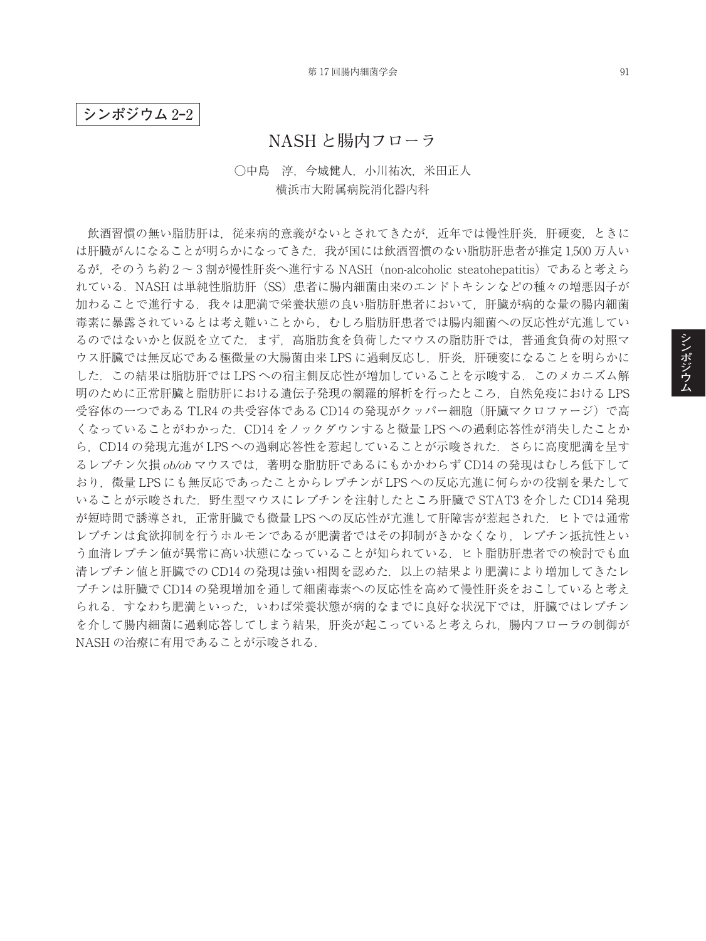**シンポジウム** 2**‒**2

## **NASH と腸内フローラ**

## ○中島 淳,今城健人,小川祐次,米田正人 横浜市大附属病院消化器内科

飲酒習慣の無い脂肪肝は,従来病的意義がないとされてきたが,近年では慢性肝炎,肝硬変,ときに は肝臓がんになることが明らかになってきた. 我が国には飲酒習慣のない脂肪肝患者が推定 1,500 万人い るが,そのうち約 2 ~ 3 割が慢性肝炎へ進行する NASH(non-alcoholic steatohepatitis)であると考えら れている.NASH は単純性脂肪肝(SS)患者に腸内細菌由来のエンドトキシンなどの種々の増悪因子が 加わることで進行する.我々は肥満で栄養状態の良い脂肪肝患者において,肝臓が病的な量の腸内細菌 毒素に暴露されているとは考え難いことから,むしろ脂肪肝患者では腸内細菌への反応性が亢進してい るのではないかと仮説を立てた.まず,高脂肪食を負荷したマウスの脂肪肝では,普通食負荷の対照マ ウス肝臓では無反応である極微量の大腸菌由来 LPS に過剰反応し, 肝炎, 肝硬変になることを明らかに した. この結果は脂肪肝では LPS への宿主側反応性が増加していることを示唆する. このメカニズム解 明のために正常肝臓と脂肪肝における遺伝子発現の網羅的解析を行ったところ,自然免疫における LPS 受容体の一つである TLR4 の共受容体である CD14 の発現がクッパー細胞(肝臓マクロファージ)で高 くなっていることがわかった.CD14 をノックダウンすると微量 LPS への過剰応答性が消失したことか ら、CD14 の発現亢進が LPS への過剰応答性を惹起していることが示唆された. さらに高度肥満を呈す るレプチン欠損 *ob/ob* マウスでは,著明な脂肪肝であるにもかかわらず CD14 の発現はむしろ低下して おり,微量 LPS にも無反応であったことからレプチンが LPS への反応亢進に何らかの役割を果たして いることが示唆された.野生型マウスにレプチンを注射したところ肝臓で STAT3 を介した CD14 発現 が短時間で誘導され,正常肝臓でも微量 LPS への反応性が亢進して肝障害が惹起された.ヒトでは通常 レプチンは食欲抑制を行うホルモンであるが肥満者ではその抑制がきかなくなり,レプチン抵抗性とい う血清レプチン値が異常に高い状態になっていることが知られている.ヒト脂肪肝患者での検討でも血 清レプチン値と肝臓での CD14 の発現は強い相関を認めた.以上の結果より肥満により増加してきたレ プチンは肝臓で CD14 の発現増加を通して細菌毒素への反応性を高めて慢性肝炎をおこしていると考え られる.すなわち肥満といった,いわば栄養状態が病的なまでに良好な状況下では,肝臓ではレプチン を介して腸内細菌に過剰応答してしまう結果,肝炎が起こっていると考えられ,腸内フローラの制御が NASH の治療に有用であることが示唆される.